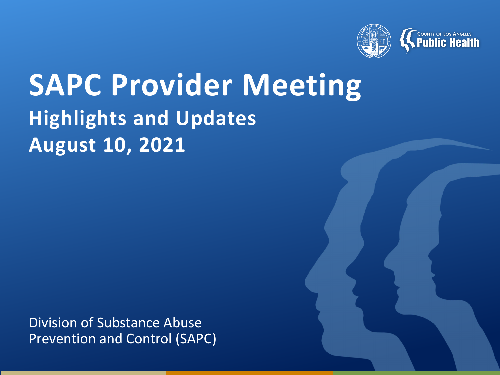

# **SAPC Provider Meeting Highlights and Updates August 10, 2021**

Division of Substance Abuse Prevention and Control (SAPC)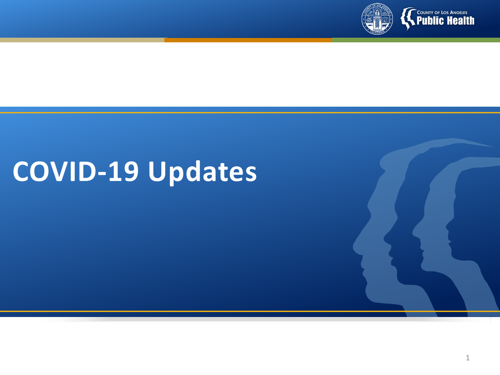

# **COVID-19 Updates**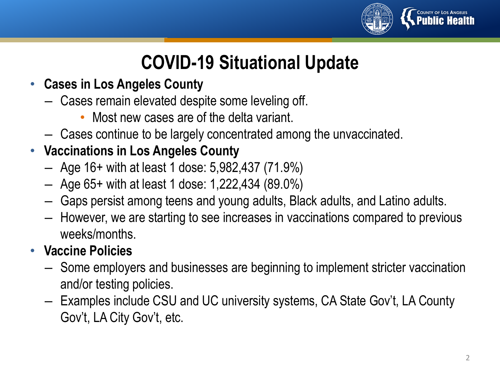

# **COVID-19 Situational Update**

- **Cases in Los Angeles County**
	- Cases remain elevated despite some leveling off.
		- Most new cases are of the delta variant.
	- Cases continue to be largely concentrated among the unvaccinated.
- **Vaccinations in Los Angeles County**
	- Age 16+ with at least 1 dose: 5,982,437 (71.9%)
	- Age 65+ with at least 1 dose: 1,222,434 (89.0%)
	- Gaps persist among teens and young adults, Black adults, and Latino adults.
	- However, we are starting to see increases in vaccinations compared to previous weeks/months.

#### • **Vaccine Policies**

- Some employers and businesses are beginning to implement stricter vaccination and/or testing policies.
- Examples include CSU and UC university systems, CA State Gov't, LA County Gov't, LA City Gov't, etc.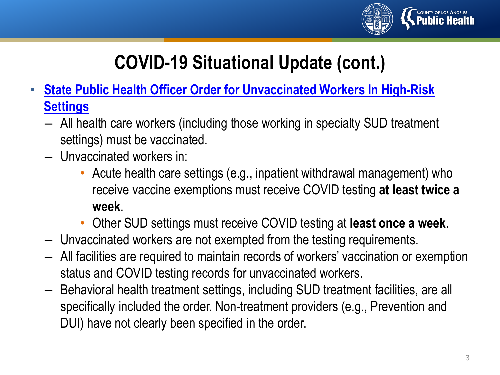

# **COVID-19 Situational Update (cont.)**

- **[State Public Health Officer Order for Unvaccinated Workers In High-Risk](https://www.cdph.ca.gov/Programs/CID/DCDC/Pages/COVID-19/Order-of-the-State-Public-Health-Officer-Health-Care-Worker-Vaccine-Requirement.aspx) Settings**
	- All health care workers (including those working in specialty SUD treatment settings) must be vaccinated.
	- Unvaccinated workers in:
		- Acute health care settings (e.g., inpatient withdrawal management) who receive vaccine exemptions must receive COVID testing **at least twice a week**.
		- Other SUD settings must receive COVID testing at **least once a week**.
	- Unvaccinated workers are not exempted from the testing requirements.
	- All facilities are required to maintain records of workers' vaccination or exemption status and COVID testing records for unvaccinated workers.
	- Behavioral health treatment settings, including SUD treatment facilities, are all specifically included the order. Non-treatment providers (e.g., Prevention and DUI) have not clearly been specified in the order.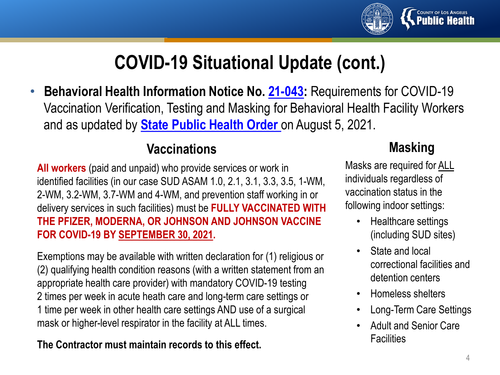

## **COVID-19 Situational Update (cont.)**

• **Behavioral Health Information Notice No. [21-043:](https://www.dhcs.ca.gov/formsandpubs/Documents/BHIN-21-043.pdfhttps:/www.dhcs.ca.gov/formsandpubs/Documents/BHIN-21-043.pdf)** Requirements for COVID-19 Vaccination Verification, Testing and Masking for Behavioral Health Facility Workers and as updated by **[State Public Health Order](https://www.cdph.ca.gov/Programs/CID/DCDC/Pages/COVID-19/Order-of-the-State-Public-Health-Officer-Health-Care-Worker-Vaccine-Requirement.aspx)** on August 5, 2021.

#### **Vaccinations**

**All workers** (paid and unpaid) who provide services or work in identified facilities (in our case SUD ASAM 1.0, 2.1, 3.1, 3.3, 3.5, 1-WM, 2-WM, 3.2-WM, 3.7-WM and 4-WM, and prevention staff working in or delivery services in such facilities) must be **FULLY VACCINATED WITH THE PFIZER, MODERNA, OR JOHNSON AND JOHNSON VACCINE FOR COVID-19 BY SEPTEMBER 30, 2021.** 

Exemptions may be available with written declaration for (1) religious or (2) qualifying health condition reasons (with a written statement from an appropriate health care provider) with mandatory COVID-19 testing 2 times per week in acute heath care and long-term care settings or 1 time per week in other health care settings AND use of a surgical mask or higher-level respirator in the facility at ALL times.

#### **The Contractor must maintain records to this effect.**

#### **Masking**

Masks are required for ALL individuals regardless of vaccination status in the following indoor settings:

- Healthcare settings (including SUD sites)
- State and local correctional facilities and detention centers
- Homeless shelters
- Long-Term Care Settings
- Adult and Senior Care **Facilities**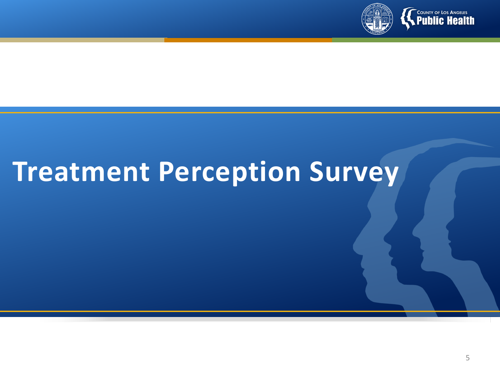

# **Treatment Perception Survey**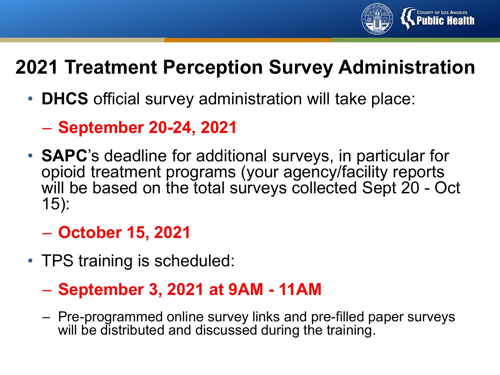

# **2021 Treatment Perception Survey Administration**

- **DHCS** official survey administration will take place:
	- **September 20-24, 2021**
- **SAPC**'s deadline for additional surveys, in particular for opioid treatment programs (your agency/facility reports will be based on the total surveys collected Sept 20 - Oct 15):

### – **October 15, 2021**

• TPS training is scheduled:

### – **September 3, 2021 at 9AM - 11AM**

– Pre-programmed online survey links and pre-filled paper surveys will be distributed and discussed during the training.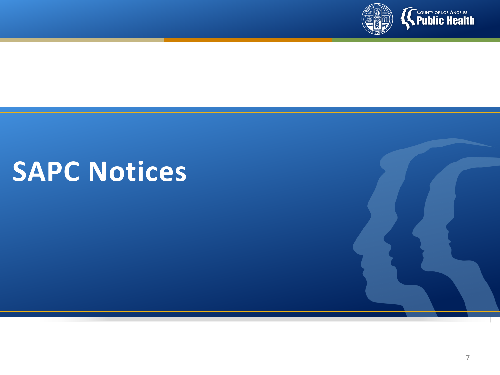

# **SAPC Notices**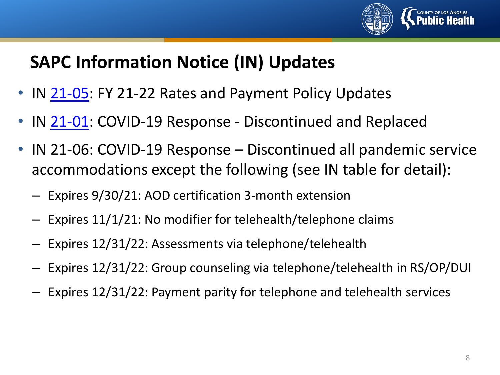

### **SAPC Information Notice (IN) Updates**

- IN [21-05:](http://publichealth.lacounty.gov/sapc/bulletins/START-ODS/21-05/IN21-05FY21-22TxRates.pdf) FY 21-22 Rates and Payment Policy Updates
- IN [21-01:](http://publichealth.lacounty.gov/sapc/bulletins/START-ODS/21-01/SAPCIN21-01COVID-19.pdf) COVID-19 Response Discontinued and Replaced
- IN 21-06: COVID-19 Response Discontinued all pandemic service accommodations except the following (see IN table for detail):
	- Expires 9/30/21: AOD certification 3-month extension
	- Expires 11/1/21: No modifier for telehealth/telephone claims
	- Expires 12/31/22: Assessments via telephone/telehealth
	- Expires 12/31/22: Group counseling via telephone/telehealth in RS/OP/DUI
	- Expires 12/31/22: Payment parity for telephone and telehealth services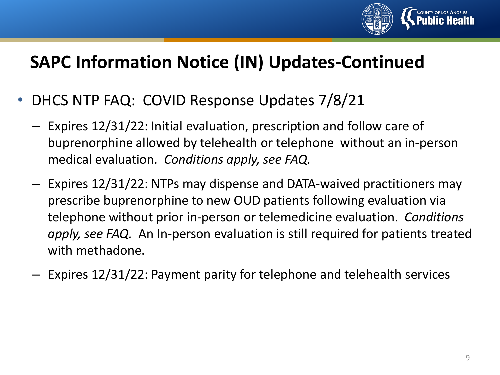

### **SAPC Information Notice (IN) Updates-Continued**

- DHCS NTP FAQ: COVID Response Updates 7/8/21
	- Expires 12/31/22: Initial evaluation, prescription and follow care of buprenorphine allowed by telehealth or telephone without an in-person medical evaluation. *Conditions apply, see FAQ.*
	- Expires 12/31/22: NTPs may dispense and DATA-waived practitioners may prescribe buprenorphine to new OUD patients following evaluation via telephone without prior in-person or telemedicine evaluation. *Conditions apply, see FAQ.* An In-person evaluation is still required for patients treated with methadone.
	- Expires 12/31/22: Payment parity for telephone and telehealth services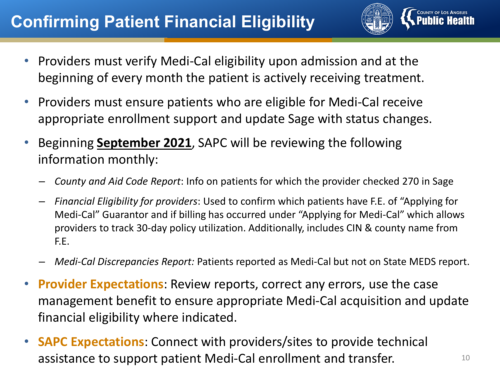### **Confirming Patient Financial Eligibility**



- Providers must verify Medi-Cal eligibility upon admission and at the beginning of every month the patient is actively receiving treatment.
- Providers must ensure patients who are eligible for Medi-Cal receive appropriate enrollment support and update Sage with status changes.
- Beginning **September 2021**, SAPC will be reviewing the following information monthly:
	- *County and Aid Code Report*: Info on patients for which the provider checked 270 in Sage
	- *Financial Eligibility for providers*: Used to confirm which patients have F.E. of "Applying for Medi-Cal" Guarantor and if billing has occurred under "Applying for Medi-Cal" which allows providers to track 30-day policy utilization. Additionally, includes CIN & county name from F.E.
	- *Medi-Cal Discrepancies Report:* Patients reported as Medi-Cal but not on State MEDS report.
- **Provider Expectations**: Review reports, correct any errors, use the case management benefit to ensure appropriate Medi-Cal acquisition and update financial eligibility where indicated.
- **SAPC Expectations**: Connect with providers/sites to provide technical assistance to support patient Medi-Cal enrollment and transfer.  $10^{10}$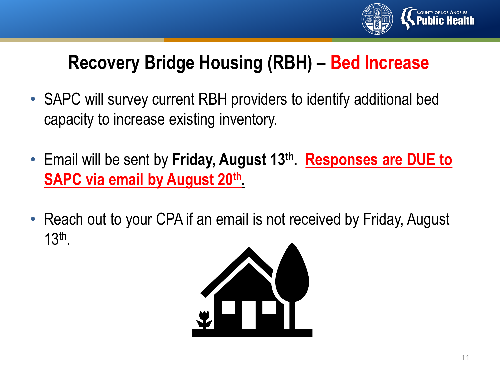

# **Recovery Bridge Housing (RBH) – Bed Increase**

- SAPC will survey current RBH providers to identify additional bed capacity to increase existing inventory.
- Email will be sent by **Friday, August 13th. Responses are DUE to SAPC via email by August 20th.**
- Reach out to your CPA if an email is not received by Friday, August 13th.

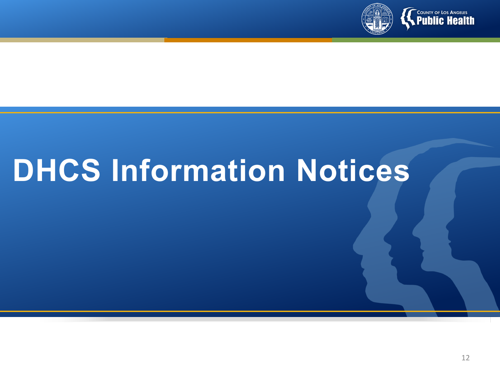

# **DHCS Information Notices**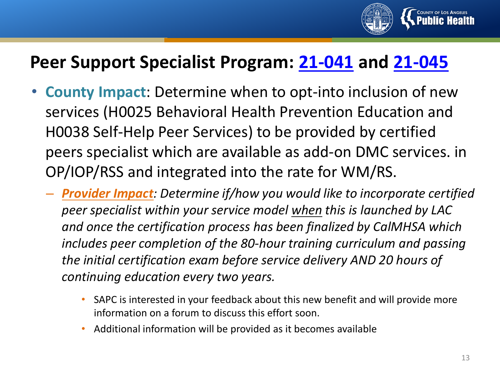

### **Peer Support Specialist Program: [21-041](https://www.dhcs.ca.gov/Documents/CSD_BL/BHIN-21-041.pdf) and [21-045](https://www.dhcs.ca.gov/Documents/CSD_YV/BHIN/BHIN-21-045-Peer-Support-Services-Implementation-Fiscal-Plan-Guide.pdf)**

- **County Impact**: Determine when to opt-into inclusion of new services (H0025 Behavioral Health Prevention Education and H0038 Self-Help Peer Services) to be provided by certified peers specialist which are available as add-on DMC services. in OP/IOP/RSS and integrated into the rate for WM/RS.
	- *Provider Impact: Determine if/how you would like to incorporate certified peer specialist within your service model when this is launched by LAC and once the certification process has been finalized by CalMHSA which includes peer completion of the 80-hour training curriculum and passing the initial certification exam before service delivery AND 20 hours of continuing education every two years.* 
		- SAPC is interested in your feedback about this new benefit and will provide more information on a forum to discuss this effort soon.
		- Additional information will be provided as it becomes available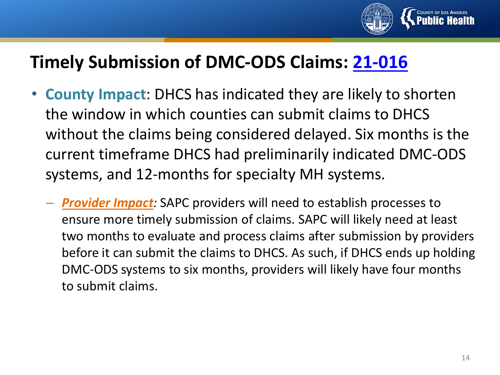

### **Timely Submission of DMC-ODS Claims: [21-016](https://www.dhcs.ca.gov/formsandpubs/Documents/BHIN21-016.pdf)**

- **County Impact**: DHCS has indicated they are likely to shorten the window in which counties can submit claims to DHCS without the claims being considered delayed. Six months is the current timeframe DHCS had preliminarily indicated DMC-ODS systems, and 12-months for specialty MH systems.
	- *Provider Impact:* SAPC providers will need to establish processes to ensure more timely submission of claims. SAPC will likely need at least two months to evaluate and process claims after submission by providers before it can submit the claims to DHCS. As such, if DHCS ends up holding DMC-ODS systems to six months, providers will likely have four months to submit claims.